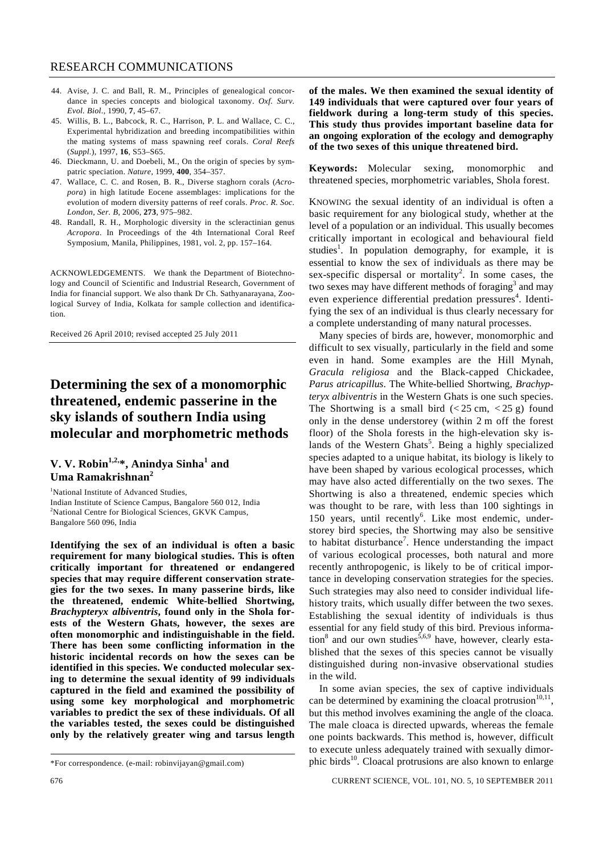- 44. Avise, J. C. and Ball, R. M., Principles of genealogical concordance in species concepts and biological taxonomy. *Oxf. Surv. Evol. Biol*., 1990, **7**, 45–67.
- 45. Willis, B. L., Babcock, R. C., Harrison, P. L. and Wallace, C. C., Experimental hybridization and breeding incompatibilities within the mating systems of mass spawning reef corals. *Coral Reefs*  (*Suppl.*), 1997, **16**, S53–S65.
- 46. Dieckmann, U. and Doebeli, M., On the origin of species by sympatric speciation. *Nature*, 1999, **400**, 354–357.
- 47. Wallace, C. C. and Rosen, B. R., Diverse staghorn corals (*Acropora*) in high latitude Eocene assemblages: implications for the evolution of modern diversity patterns of reef corals. *Proc. R. Soc. London*, *Ser. B*, 2006, **273**, 975–982.
- 48. Randall, R. H., Morphologic diversity in the scleractinian genus *Acropora*. In Proceedings of the 4th International Coral Reef Symposium, Manila, Philippines, 1981, vol. 2, pp. 157–164.

ACKNOWLEDGEMENTS. We thank the Department of Biotechnology and Council of Scientific and Industrial Research, Government of India for financial support. We also thank Dr Ch. Sathyanarayana, Zoological Survey of India, Kolkata for sample collection and identification.

Received 26 April 2010; revised accepted 25 July 2011

## **Determining the sex of a monomorphic threatened, endemic passerine in the sky islands of southern India using molecular and morphometric methods**

## **V. V. Robin<sup>1,2,</sup>\*, Anindya Sinha<sup>1</sup> and Uma Ramakrishnan<sup>2</sup>**

<sup>1</sup>National Institute of Advanced Studies, Indian Institute of Science Campus, Bangalore 560 012, India <sup>2</sup>National Centre for Biological Sciences, GKVK Campus, Bangalore 560 096, India

**Identifying the sex of an individual is often a basic requirement for many biological studies. This is often critically important for threatened or endangered species that may require different conservation strategies for the two sexes. In many passerine birds, like the threatened, endemic White-bellied Shortwing,**  *Brachypteryx albiventris***, found only in the Shola forests of the Western Ghats, however, the sexes are often monomorphic and indistinguishable in the field. There has been some conflicting information in the historic incidental records on how the sexes can be identified in this species. We conducted molecular sexing to determine the sexual identity of 99 individuals captured in the field and examined the possibility of using some key morphological and morphometric variables to predict the sex of these individuals. Of all the variables tested, the sexes could be distinguished only by the relatively greater wing and tarsus length** 

**of the males. We then examined the sexual identity of 149 individuals that were captured over four years of fieldwork during a long-term study of this species. This study thus provides important baseline data for an ongoing exploration of the ecology and demography of the two sexes of this unique threatened bird.** 

**Keywords:** Molecular sexing, monomorphic and threatened species, morphometric variables, Shola forest.

KNOWING the sexual identity of an individual is often a basic requirement for any biological study, whether at the level of a population or an individual. This usually becomes critically important in ecological and behavioural field studies<sup>1</sup>. In population demography, for example, it is essential to know the sex of individuals as there may be sex-specific dispersal or mortality<sup>2</sup>. In some cases, the two sexes may have different methods of foraging<sup>3</sup> and may even experience differential predation pressures<sup>4</sup>. Identifying the sex of an individual is thus clearly necessary for a complete understanding of many natural processes.

 Many species of birds are, however, monomorphic and difficult to sex visually, particularly in the field and some even in hand. Some examples are the Hill Mynah, *Gracula religiosa* and the Black-capped Chickadee, *Parus atricapillus*. The White-bellied Shortwing, *Brachypteryx albiventris* in the Western Ghats is one such species. The Shortwing is a small bird  $(< 25 \text{ cm}, < 25 \text{ g})$  found only in the dense understorey (within 2 m off the forest floor) of the Shola forests in the high-elevation sky islands of the Western Ghats<sup>5</sup>. Being a highly specialized species adapted to a unique habitat, its biology is likely to have been shaped by various ecological processes, which may have also acted differentially on the two sexes. The Shortwing is also a threatened, endemic species which was thought to be rare, with less than 100 sightings in 150 years, until recently<sup>6</sup>. Like most endemic, understorey bird species, the Shortwing may also be sensitive to habitat disturbance<sup>7</sup>. Hence understanding the impact of various ecological processes, both natural and more recently anthropogenic, is likely to be of critical importance in developing conservation strategies for the species. Such strategies may also need to consider individual lifehistory traits, which usually differ between the two sexes. Establishing the sexual identity of individuals is thus essential for any field study of this bird. Previous informa- $\{\tan^8}$  and our own studies<sup>5,6,9</sup> have, however, clearly established that the sexes of this species cannot be visually distinguished during non-invasive observational studies in the wild.

 In some avian species, the sex of captive individuals can be determined by examining the cloacal protrusion $10,11$ , but this method involves examining the angle of the cloaca. The male cloaca is directed upwards, whereas the female one points backwards. This method is, however, difficult to execute unless adequately trained with sexually dimorphic birds<sup>10</sup>. Cloacal protrusions are also known to enlarge

<sup>\*</sup>For correspondence. (e-mail: robinvijayan@gmail.com)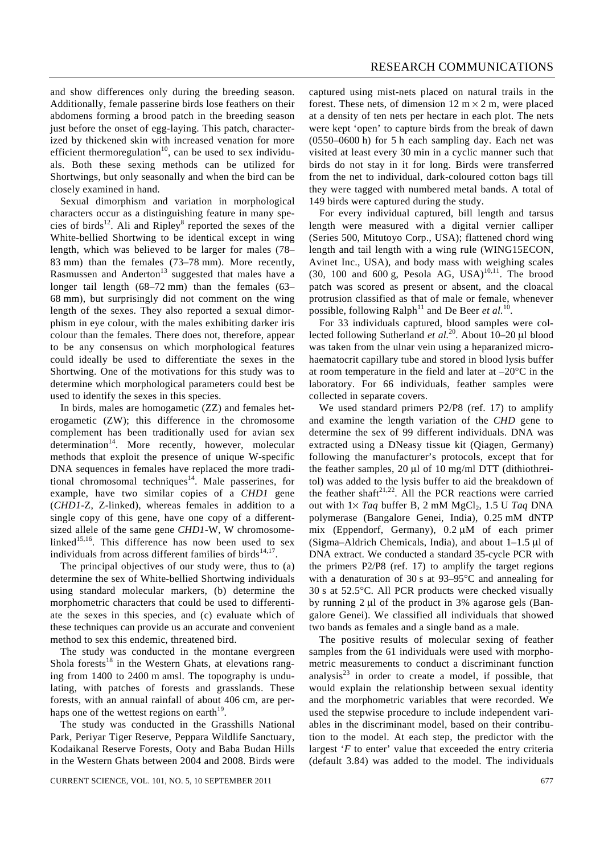and show differences only during the breeding season. Additionally, female passerine birds lose feathers on their abdomens forming a brood patch in the breeding season just before the onset of egg-laying. This patch, characterized by thickened skin with increased venation for more efficient thermoregulation<sup>10</sup>, can be used to sex individuals. Both these sexing methods can be utilized for Shortwings, but only seasonally and when the bird can be closely examined in hand.

 Sexual dimorphism and variation in morphological characters occur as a distinguishing feature in many species of birds<sup>12</sup>. Ali and Ripley<sup>8</sup> reported the sexes of the White-bellied Shortwing to be identical except in wing length, which was believed to be larger for males (78– 83 mm) than the females (73–78 mm). More recently, Rasmussen and Anderton $13$  suggested that males have a longer tail length (68–72 mm) than the females (63– 68 mm), but surprisingly did not comment on the wing length of the sexes. They also reported a sexual dimorphism in eye colour, with the males exhibiting darker iris colour than the females. There does not, therefore, appear to be any consensus on which morphological features could ideally be used to differentiate the sexes in the Shortwing. One of the motivations for this study was to determine which morphological parameters could best be used to identify the sexes in this species.

 In birds, males are homogametic (ZZ) and females heterogametic (ZW); this difference in the chromosome complement has been traditionally used for avian sex determination $14$ . More recently, however, molecular methods that exploit the presence of unique W-specific DNA sequences in females have replaced the more traditional chromosomal techniques<sup>14</sup>. Male passerines, for example, have two similar copies of a *CHD1* gene (*CHD1*-Z, Z-linked), whereas females in addition to a single copy of this gene, have one copy of a differentsized allele of the same gene *CHD1*-W, W chromosomelinked<sup>15,16</sup>. This difference has now been used to sex individuals from across different families of birds $14,17$ .

 The principal objectives of our study were, thus to (a) determine the sex of White-bellied Shortwing individuals using standard molecular markers, (b) determine the morphometric characters that could be used to differentiate the sexes in this species, and (c) evaluate which of these techniques can provide us an accurate and convenient method to sex this endemic, threatened bird.

 The study was conducted in the montane evergreen Shola forests<sup>18</sup> in the Western Ghats, at elevations ranging from 1400 to 2400 m amsl. The topography is undulating, with patches of forests and grasslands. These forests, with an annual rainfall of about 406 cm, are perhaps one of the wettest regions on earth<sup>19</sup>.

 The study was conducted in the Grasshills National Park, Periyar Tiger Reserve, Peppara Wildlife Sanctuary, Kodaikanal Reserve Forests, Ooty and Baba Budan Hills in the Western Ghats between 2004 and 2008. Birds were captured using mist-nets placed on natural trails in the forest. These nets, of dimension  $12 \text{ m} \times 2 \text{ m}$ , were placed at a density of ten nets per hectare in each plot. The nets were kept 'open' to capture birds from the break of dawn (0550–0600 h) for 5 h each sampling day. Each net was visited at least every 30 min in a cyclic manner such that birds do not stay in it for long. Birds were transferred from the net to individual, dark-coloured cotton bags till they were tagged with numbered metal bands. A total of 149 birds were captured during the study.

 For every individual captured, bill length and tarsus length were measured with a digital vernier calliper (Series 500, Mitutoyo Corp., USA); flattened chord wing length and tail length with a wing rule (WING15ECON, Avinet Inc., USA), and body mass with weighing scales (30, 100 and 600 g, Pesola AG, USA) $^{10,11}$ . The brood patch was scored as present or absent, and the cloacal protrusion classified as that of male or female, whenever possible, following Ralph<sup>11</sup> and De Beer *et al.*<sup>10</sup>.

 For 33 individuals captured, blood samples were collected following Sutherland *et al.*20. About 10–20 μl blood was taken from the ulnar vein using a heparanized microhaematocrit capillary tube and stored in blood lysis buffer at room temperature in the field and later at –20°C in the laboratory. For 66 individuals, feather samples were collected in separate covers.

 We used standard primers P2/P8 (ref. 17) to amplify and examine the length variation of the *CHD* gene to determine the sex of 99 different individuals. DNA was extracted using a DNeasy tissue kit (Qiagen, Germany) following the manufacturer's protocols, except that for the feather samples, 20 μl of 10 mg/ml DTT (dithiothreitol) was added to the lysis buffer to aid the breakdown of the feather shaft<sup>21,22</sup>. All the PCR reactions were carried out with  $1 \times Tag$  buffer B, 2 mM MgCl<sub>2</sub>, 1.5 U *Taq* DNA polymerase (Bangalore Genei, India), 0.25 mM dNTP mix (Eppendorf, Germany), 0.2 μM of each primer (Sigma–Aldrich Chemicals, India), and about 1–1.5 μl of DNA extract. We conducted a standard 35-cycle PCR with the primers P2/P8 (ref. 17) to amplify the target regions with a denaturation of 30 s at 93–95°C and annealing for 30 s at 52.5°C. All PCR products were checked visually by running 2 μl of the product in 3% agarose gels (Bangalore Genei). We classified all individuals that showed two bands as females and a single band as a male.

 The positive results of molecular sexing of feather samples from the 61 individuals were used with morphometric measurements to conduct a discriminant function analysis $^{23}$  in order to create a model, if possible, that would explain the relationship between sexual identity and the morphometric variables that were recorded. We used the stepwise procedure to include independent variables in the discriminant model, based on their contribution to the model. At each step, the predictor with the largest '*F* to enter' value that exceeded the entry criteria (default 3.84) was added to the model. The individuals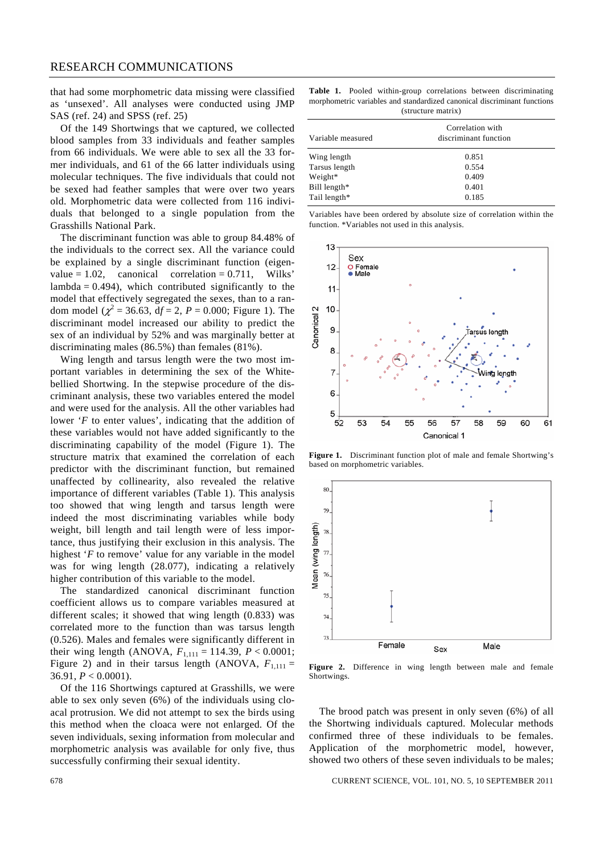## RESEARCH COMMUNICATIONS

that had some morphometric data missing were classified as 'unsexed'. All analyses were conducted using JMP SAS (ref. 24) and SPSS (ref. 25)

 Of the 149 Shortwings that we captured, we collected blood samples from 33 individuals and feather samples from 66 individuals. We were able to sex all the 33 former individuals, and 61 of the 66 latter individuals using molecular techniques. The five individuals that could not be sexed had feather samples that were over two years old. Morphometric data were collected from 116 individuals that belonged to a single population from the Grasshills National Park.

 The discriminant function was able to group 84.48% of the individuals to the correct sex. All the variance could be explained by a single discriminant function (eigenvalue  $= 1.02$ , canonical correlation  $= 0.711$ , Wilks' lambda =  $0.494$ ), which contributed significantly to the model that effectively segregated the sexes, than to a random model ( $\chi^2$  = 36.63, df = 2, P = 0.000; Figure 1). The discriminant model increased our ability to predict the sex of an individual by 52% and was marginally better at discriminating males (86.5%) than females (81%).

 Wing length and tarsus length were the two most important variables in determining the sex of the Whitebellied Shortwing. In the stepwise procedure of the discriminant analysis, these two variables entered the model and were used for the analysis. All the other variables had lower '*F* to enter values', indicating that the addition of these variables would not have added significantly to the discriminating capability of the model (Figure 1). The structure matrix that examined the correlation of each predictor with the discriminant function, but remained unaffected by collinearity, also revealed the relative importance of different variables (Table 1). This analysis too showed that wing length and tarsus length were indeed the most discriminating variables while body weight, bill length and tail length were of less importance, thus justifying their exclusion in this analysis. The highest '*F* to remove' value for any variable in the model was for wing length (28.077), indicating a relatively higher contribution of this variable to the model.

 The standardized canonical discriminant function coefficient allows us to compare variables measured at different scales; it showed that wing length (0.833) was correlated more to the function than was tarsus length (0.526). Males and females were significantly different in their wing length (ANOVA,  $F_{1,111} = 114.39$ ,  $P < 0.0001$ ; Figure 2) and in their tarsus length (ANOVA,  $F_{1,111} =$ 36.91, *P* < 0.0001).

 Of the 116 Shortwings captured at Grasshills, we were able to sex only seven (6%) of the individuals using cloacal protrusion. We did not attempt to sex the birds using this method when the cloaca were not enlarged. Of the seven individuals, sexing information from molecular and morphometric analysis was available for only five, thus successfully confirming their sexual identity.

**Table 1.** Pooled within-group correlations between discriminating morphometric variables and standardized canonical discriminant functions (structure matrix)

| Variable measured | Correlation with<br>discriminant function |  |
|-------------------|-------------------------------------------|--|
| Wing length       | 0.851                                     |  |
| Tarsus length     | 0.554                                     |  |
| Weight*           | 0.409                                     |  |
| Bill length*      | 0.401                                     |  |
| Tail length*      | 0.185                                     |  |

Variables have been ordered by absolute size of correlation within the function. \*Variables not used in this analysis.



Figure 1. Discriminant function plot of male and female Shortwing's based on morphometric variables.



**Figure 2.** Difference in wing length between male and female Shortwings.

 The brood patch was present in only seven (6%) of all the Shortwing individuals captured. Molecular methods confirmed three of these individuals to be females. Application of the morphometric model, however, showed two others of these seven individuals to be males;